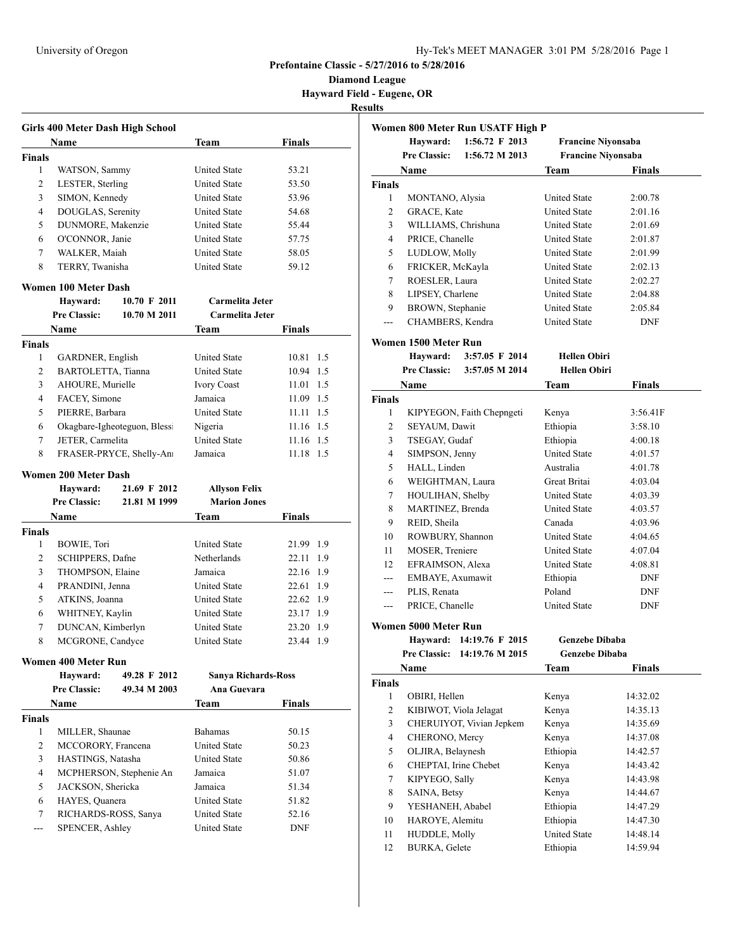**Diamond League Hayward Field - Eugene, OR**

**Results**

|               | Girls 400 Meter Dash High School        |                              |                                            |                        |  |
|---------------|-----------------------------------------|------------------------------|--------------------------------------------|------------------------|--|
|               | Name                                    |                              | Team                                       | Finals                 |  |
| <b>Finals</b> |                                         |                              |                                            |                        |  |
| 1             | WATSON, Sammy                           |                              | <b>United State</b>                        | 53.21                  |  |
| 2             | LESTER, Sterling                        |                              | <b>United State</b>                        | 53.50                  |  |
| 3             | SIMON, Kennedy                          |                              | <b>United State</b>                        | 53.96                  |  |
| 4             | DOUGLAS, Serenity                       |                              | <b>United State</b>                        | 54.68                  |  |
| 5             | DUNMORE, Makenzie                       |                              | <b>United State</b>                        | 55.44                  |  |
| 6             | O'CONNOR, Janie                         |                              | <b>United State</b>                        | 57.75                  |  |
| 7             | WALKER, Maiah                           |                              | <b>United State</b>                        | 58.05                  |  |
| 8             | TERRY, Twanisha                         |                              | <b>United State</b>                        | 59.12                  |  |
|               | Women 100 Meter Dash                    |                              |                                            |                        |  |
|               | Hayward:                                | $10.70 \mathrm{F} 2011$      | Carmelita Jeter                            |                        |  |
|               | <b>Pre Classic:</b>                     | 10.70 M 2011                 | Carmelita Jeter                            |                        |  |
|               | <b>Name</b>                             |                              | Team                                       | Finals                 |  |
| <b>Finals</b> |                                         |                              |                                            |                        |  |
| 1             | GARDNER, English                        |                              | <b>United State</b>                        | 10.81<br>1.5           |  |
| 2             | BARTOLETTA, Tianna                      |                              | <b>United State</b>                        | 10.94<br>1.5           |  |
| 3             | AHOURE, Murielle                        |                              | <b>Ivory Coast</b>                         | 1.5<br>11.01           |  |
| 4             | FACEY, Simone                           |                              | Jamaica                                    | 11.09 1.5              |  |
| 5             | PIERRE, Barbara                         |                              | <b>United State</b>                        | 11.11 1.5              |  |
| 6             |                                         | Okagbare-Igheoteguon, Blessi | Nigeria                                    | 11.16 1.5              |  |
| 7             | JETER, Carmelita                        |                              | <b>United State</b>                        | $11.16$ 1.5            |  |
| 8             |                                         | FRASER-PRYCE, Shelly-Anı     | Jamaica                                    | 11.18 1.5              |  |
|               | Women 200 Meter Dash                    |                              |                                            |                        |  |
|               |                                         |                              |                                            |                        |  |
|               |                                         |                              |                                            |                        |  |
|               | Hayward:                                | 21.69 F 2012                 | <b>Allyson Felix</b>                       |                        |  |
|               | <b>Pre Classic:</b>                     | 21.81 M 1999                 | <b>Marion Jones</b>                        |                        |  |
|               | Name                                    |                              | Team                                       | Finals                 |  |
| <b>Finals</b> |                                         |                              |                                            |                        |  |
| 1             | BOWIE, Tori                             |                              | <b>United State</b>                        | 21.99 1.9              |  |
| 2             | SCHIPPERS, Dafne                        |                              | Netherlands<br>Jamaica                     | 1.9<br>22.11           |  |
| 3             | THOMPSON, Elaine                        |                              |                                            | 22.16 1.9              |  |
| 4             | PRANDINI, Jenna                         |                              | <b>United State</b>                        | 22.61 1.9              |  |
| 5             | ATKINS, Joanna                          |                              | <b>United State</b>                        | 22.62 1.9              |  |
| 6             | WHITNEY, Kaylin                         |                              | <b>United State</b>                        | 23.17 1.9              |  |
| 7<br>8        | DUNCAN, Kimberlyn                       |                              | <b>United State</b><br><b>United State</b> | 23.20 1.9<br>23.44 1.9 |  |
|               | MCGRONE, Candyce                        |                              |                                            |                        |  |
|               | <b>Women 400 Meter Run</b>              |                              |                                            |                        |  |
|               | Hayward:                                | 49.28 F 2012                 | <b>Sanya Richards-Ross</b>                 |                        |  |
|               | <b>Pre Classic:</b>                     | 49.34 M 2003                 | Ana Guevara                                |                        |  |
|               | Name                                    |                              | Team                                       | Finals                 |  |
| <b>Finals</b> |                                         |                              |                                            |                        |  |
| 1             | MILLER, Shaunae                         |                              | <b>Bahamas</b>                             | 50.15                  |  |
| 2             | MCCORORY, Francena                      |                              | <b>United State</b>                        | 50.23                  |  |
| 3             | HASTINGS, Natasha                       |                              | <b>United State</b>                        | 50.86                  |  |
| 4             |                                         | MCPHERSON, Stephenie An      | Jamaica                                    | 51.07                  |  |
| 5             | JACKSON, Shericka                       |                              | Jamaica                                    | 51.34                  |  |
| 6             | HAYES, Quanera                          |                              | <b>United State</b>                        | 51.82                  |  |
| 7<br>---      | RICHARDS-ROSS, Sanya<br>SPENCER, Ashley |                              | <b>United State</b><br><b>United State</b> | 52.16<br>DNF           |  |

|                |                        | Women 800 Meter Run USATF High P |                           |               |
|----------------|------------------------|----------------------------------|---------------------------|---------------|
|                | Havward:               | 1:56.72 F 2013                   | <b>Francine Niyonsaba</b> |               |
|                | <b>Pre Classic:</b>    | 1:56.72 M 2013                   | <b>Francine Niyonsaba</b> |               |
|                | Name                   |                                  | Team                      | <b>Finals</b> |
| <b>Finals</b>  |                        |                                  |                           |               |
| 1              | MONTANO, Alysia        |                                  | <b>United State</b>       | 2:00.78       |
| 2              | GRACE, Kate            |                                  | <b>United State</b>       | 2:01.16       |
| 3              | WILLIAMS, Chrishuna    |                                  | <b>United State</b>       | 2:01.69       |
| $\overline{4}$ | PRICE, Chanelle        |                                  | <b>United State</b>       | 2:01.87       |
| 5              | LUDLOW, Molly          |                                  | <b>United State</b>       | 2:01.99       |
| 6              | FRICKER, McKayla       |                                  | <b>United State</b>       | 2:02.13       |
| 7              | ROESLER, Laura         |                                  | <b>United State</b>       | 2:02.27       |
| 8              | LIPSEY, Charlene       |                                  | United State              | 2:04.88       |
| 9              | BROWN, Stephanie       |                                  | <b>United State</b>       | 2:05.84       |
|                | CHAMBERS, Kendra       |                                  | <b>United State</b>       | <b>DNF</b>    |
|                | Women 1500 Meter Run   |                                  |                           |               |
|                | Hayward:               | 3:57.05 F 2014                   | <b>Hellen Obiri</b>       |               |
|                | <b>Pre Classic:</b>    | 3:57.05 M 2014                   | <b>Hellen Obiri</b>       |               |
|                | Name                   |                                  | Team                      | <b>Finals</b> |
| <b>Finals</b>  |                        |                                  |                           |               |
| 1              |                        | KIPYEGON, Faith Chepngeti        | Kenya                     | 3:56.41F      |
| 2              | SEYAUM, Dawit          |                                  | Ethiopia                  | 3:58.10       |
| 3              | TSEGAY, Gudaf          |                                  | Ethiopia                  | 4:00.18       |
| 4              | SIMPSON, Jenny         |                                  | <b>United State</b>       | 4:01.57       |
| 5              | HALL, Linden           |                                  | Australia                 | 4:01.78       |
| 6              | WEIGHTMAN, Laura       |                                  | Great Britai              | 4:03.04       |
| 7              | HOULIHAN, Shelby       |                                  | United State              | 4:03.39       |
| 8              | MARTINEZ, Brenda       |                                  | <b>United State</b>       | 4:03.57       |
| 9              | REID, Sheila           |                                  | Canada                    | 4:03.96       |
| 10             | ROWBURY, Shannon       |                                  | <b>United State</b>       | 4:04.65       |
| 11             | MOSER, Treniere        |                                  | <b>United State</b>       | 4:07.04       |
| 12             | EFRAIMSON, Alexa       |                                  | <b>United State</b>       | 4:08.81       |
| ---            | EMBAYE, Axumawit       |                                  | Ethiopia                  | DNF           |
| ---            | PLIS, Renata           |                                  | Poland                    | <b>DNF</b>    |
|                |                        |                                  |                           |               |
| ---            | PRICE, Chanelle        |                                  | <b>United State</b>       | DNF           |
|                | Women 5000 Meter Run   |                                  |                           |               |
|                | Hayward:               | 14:19.76 F 2015                  | Genzebe Dibaba            |               |
|                |                        | Pre Classic: 14:19.76 M 2015     | Genzebe Dibaba            |               |
|                | <b>Name</b>            |                                  | <b>Team</b>               | <b>Finals</b> |
| Finals         |                        |                                  |                           |               |
| 1              | OBIRI, Hellen          |                                  | Kenya                     | 14:32.02      |
| $\mathfrak{2}$ | KIBIWOT, Viola Jelagat |                                  | Kenya                     | 14:35.13      |
| 3              |                        | CHERUIYOT, Vivian Jepkem         | Kenya                     | 14:35.69      |
| 4              | CHERONO, Mercy         |                                  | Kenya                     | 14:37.08      |
| 5              | OLJIRA, Belaynesh      |                                  | Ethiopia                  | 14:42.57      |
| 6              | CHEPTAI, Irine Chebet  |                                  | Kenya                     | 14:43.42      |
| 7              | KIPYEGO, Sally         |                                  | Kenya                     | 14:43.98      |
| 8              | SAINA, Betsy           |                                  | Kenya                     | 14:44.67      |
| 9              | YESHANEH, Ababel       |                                  | Ethiopia                  | 14:47.29      |
| 10             | HAROYE, Alemitu        |                                  | Ethiopia                  | 14:47.30      |
| 11             | HUDDLE, Molly          |                                  | <b>United State</b>       | 14:48.14      |
| 12             | BURKA, Gelete          |                                  | Ethiopia                  | 14:59.94      |
|                |                        |                                  |                           |               |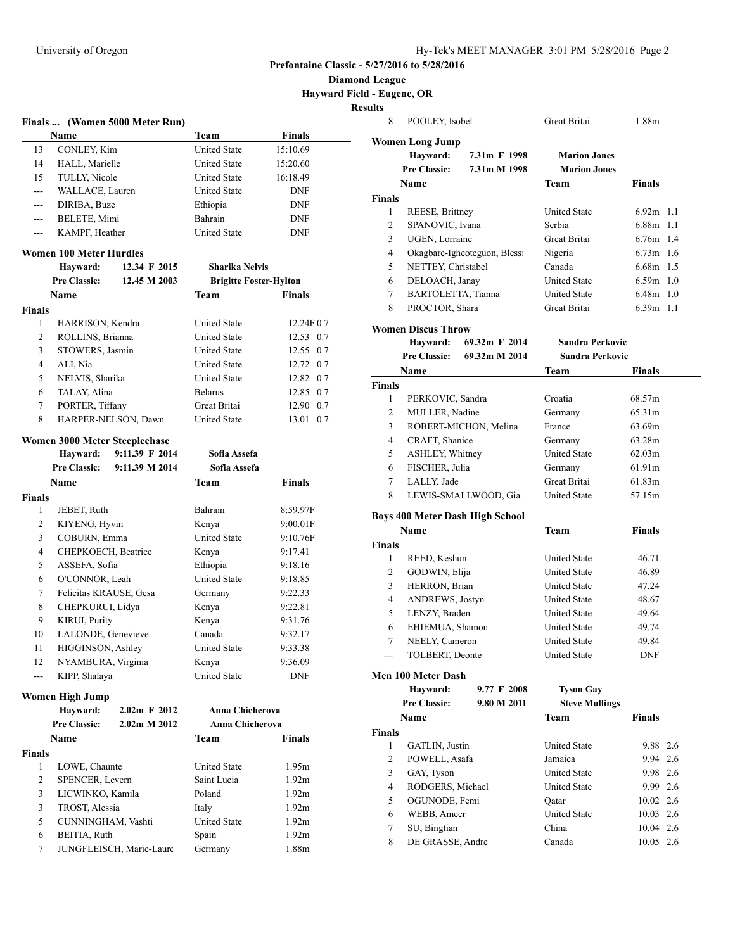**Diamond League Hayward Field - Eugene, OR**

|               |                                      | Finals  (Women 5000 Meter Run) |                               |                   |
|---------------|--------------------------------------|--------------------------------|-------------------------------|-------------------|
|               | Name                                 |                                | <b>Team</b>                   | <b>Finals</b>     |
| 13            | CONLEY, Kim                          |                                | <b>United State</b>           | 15:10.69          |
| 14            | HALL, Marielle                       |                                | <b>United State</b>           | 15:20.60          |
| 15            | TULLY, Nicole                        |                                | <b>United State</b>           | 16:18.49          |
| ---           | WALLACE, Lauren                      |                                | <b>United State</b>           | <b>DNF</b>        |
| ---           | DIRIBA, Buze                         |                                | Ethiopia                      | <b>DNF</b>        |
| ---           | BELETE, Mimi                         |                                | Bahrain                       | <b>DNF</b>        |
| ---           | KAMPF, Heather                       |                                | <b>United State</b>           | <b>DNF</b>        |
|               | Women 100 Meter Hurdles              |                                |                               |                   |
|               | Hayward:                             | 12.34 F 2015                   | <b>Sharika Nelvis</b>         |                   |
|               | <b>Pre Classic:</b>                  | 12.45 M 2003                   | <b>Brigitte Foster-Hylton</b> |                   |
|               | Name                                 |                                | <b>Team</b>                   | <b>Finals</b>     |
| Finals        |                                      |                                |                               |                   |
| 1             | HARRISON, Kendra                     |                                | <b>United State</b>           | 12.24F 0.7        |
| 2             | ROLLINS, Brianna                     |                                | <b>United State</b>           | 12.53 0.7         |
| 3             | STOWERS, Jasmin                      |                                | <b>United State</b>           | 12.55 0.7         |
| 4             | ALI, Nia                             |                                | <b>United State</b>           | 12.72 0.7         |
| 5             | NELVIS, Sharika                      |                                | <b>United State</b>           | 12.82 0.7         |
| 6             | TALAY, Alina                         |                                | <b>Belarus</b>                | 12.85 0.7         |
| 7             | PORTER, Tiffany                      |                                | Great Britai                  | 12.90 0.7         |
| 8             | HARPER-NELSON, Dawn                  |                                | <b>United State</b>           | 13.01<br>0.7      |
|               | <b>Women 3000 Meter Steeplechase</b> |                                |                               |                   |
|               | Hayward:                             | 9:11.39 F 2014                 | Sofia Assefa                  |                   |
|               | <b>Pre Classic:</b>                  | 9:11.39 M 2014                 | Sofia Assefa                  |                   |
|               | Name                                 |                                | Team                          | <b>Finals</b>     |
| <b>Finals</b> |                                      |                                |                               |                   |
| 1             | JEBET, Ruth                          |                                | Bahrain                       | 8:59.97F          |
| 2             | KIYENG, Hyvin                        |                                | Kenya                         | 9:00.01F          |
| 3             | COBURN, Emma                         |                                | <b>United State</b>           | 9:10.76F          |
| 4             | CHEPKOECH, Beatrice                  |                                | Kenya                         | 9:17.41           |
| 5             | ASSEFA, Sofia                        |                                | Ethiopia                      | 9:18.16           |
| 6             | O'CONNOR, Leah                       |                                | <b>United State</b>           | 9:18.85           |
| 7             | Felicitas KRAUSE, Gesa               |                                | Germany                       | 9:22.33           |
| 8             | CHEPKURUI, Lidya                     |                                | Kenya                         | 9:22.81           |
| 9             | KIRUI, Purity                        |                                | Kenya                         | 9:31.76           |
| 10            | LALONDE, Genevieve                   |                                | Canada                        | 9:32.17           |
| 11            | HIGGINSON, Ashley                    |                                | <b>United State</b>           | 9:33.38           |
| 12            | NYAMBURA, Virginia                   |                                | Kenya                         | 9:36.09           |
| ---           | KIPP, Shalaya                        |                                | <b>United State</b>           | <b>DNF</b>        |
|               | Women High Jump                      |                                |                               |                   |
|               | Hayward:                             | $2.02m$ F $2012$               | Anna Chicherova               |                   |
|               | <b>Pre Classic:</b>                  | 2.02m M 2012                   | Anna Chicherova               |                   |
|               | Name                                 |                                | Team                          | <b>Finals</b>     |
| <b>Finals</b> |                                      |                                |                               |                   |
| 1             | LOWE, Chaunte                        |                                | <b>United State</b>           | 1.95m             |
| 2             | SPENCER, Levern                      |                                | Saint Lucia                   | 1.92 <sub>m</sub> |
| 3             | LICWINKO, Kamila                     |                                | Poland                        | 1.92m             |
| 3             | TROST, Alessia                       |                                | Italy                         | 1.92m             |
| 5             | CUNNINGHAM, Vashti                   |                                | <b>United State</b>           | 1.92 <sub>m</sub> |
| 6             | BEITIA, Ruth                         |                                | Spain                         | 1.92 <sub>m</sub> |
| 7             |                                      | JUNGFLEISCH, Marie-Laure       | Germany                       | 1.88m             |
|               |                                      |                                |                               |                   |

| 8              | POOLEY, Isobel            |                                        | Great Britai           | 1.88m         |
|----------------|---------------------------|----------------------------------------|------------------------|---------------|
|                | <b>Women Long Jump</b>    |                                        |                        |               |
|                | Hayward:                  | 7.31m F 1998                           | <b>Marion Jones</b>    |               |
|                | Pre Classic:              | 7.31m M 1998                           | <b>Marion Jones</b>    |               |
|                | Name                      |                                        | Team                   | Finals        |
| Finals         |                           |                                        |                        |               |
| 1              | REESE, Brittney           |                                        | <b>United State</b>    | $6.92m$ 1.1   |
| 2              | SPANOVIC, Ivana           |                                        | Serbia                 | 6.88m 1.1     |
| 3              | UGEN, Lorraine            |                                        | Great Britai           | 6.76m 1.4     |
| 4              |                           | Okagbare-Igheoteguon, Blessi           | Nigeria                | $6.73m$ 1.6   |
| 5              | NETTEY, Christabel        |                                        | Canada                 | 6.68m 1.5     |
| 6              | DELOACH, Janay            |                                        | <b>United State</b>    | $6.59m$ 1.0   |
| $\tau$         | BARTOLETTA, Tianna        |                                        | <b>United State</b>    | 6.48m 1.0     |
| 8              | PROCTOR, Shara            |                                        | Great Britai           | $6.39m$ 1.1   |
|                |                           |                                        |                        |               |
|                | <b>Women Discus Throw</b> |                                        |                        |               |
|                | Hayward:                  | 69.32m F 2014                          | <b>Sandra Perkovic</b> |               |
|                | <b>Pre Classic:</b>       | 69.32m M 2014                          | <b>Sandra Perkovic</b> |               |
|                | Name                      |                                        | Team                   | Finals        |
| Finals         |                           |                                        |                        |               |
| 1              | PERKOVIC, Sandra          |                                        | Croatia                | 68.57m        |
| 2              | MULLER, Nadine            |                                        | Germany                | 65.31m        |
| 3              |                           | ROBERT-MICHON, Melina                  | France                 | 63.69m        |
| 4              | CRAFT, Shanice            |                                        | Germany                | 63.28m        |
| 5              | <b>ASHLEY, Whitney</b>    |                                        | <b>United State</b>    | 62.03m        |
| 6              | FISCHER, Julia            |                                        | Germany                | 61.91m        |
| 7              | LALLY, Jade               |                                        | Great Britai           | 61.83m        |
| 8              |                           | LEWIS-SMALLWOOD, Gia                   | <b>United State</b>    | 57.15m        |
|                |                           | <b>Boys 400 Meter Dash High School</b> |                        |               |
|                | Name                      |                                        | Team                   | <b>Finals</b> |
| <b>Finals</b>  |                           |                                        |                        |               |
| 1              | REED, Keshun              |                                        | <b>United State</b>    | 46.71         |
| $\mathfrak{2}$ | GODWIN, Elija             |                                        | <b>United State</b>    | 46.89         |
| 3              | HERRON, Brian             |                                        | <b>United State</b>    | 47.24         |
| 4              | ANDREWS, Jostyn           |                                        | <b>United State</b>    | 48.67         |
| 5              | LENZY, Braden             |                                        | <b>United State</b>    | 49.64         |
| 6              | EHIEMUA, Shamon           |                                        | <b>United State</b>    | 49.74         |
| 7              | NEELY, Cameron            |                                        | <b>United State</b>    | 49.84         |
|                | TOLBERT, Deonte           |                                        | United State           | <b>DNF</b>    |
|                | Men 100 Meter Dash        |                                        |                        |               |
|                | Hayward:                  | 9.77 F 2008                            | <b>Tyson Gay</b>       |               |
|                | Pre Classic:              | 9.80 M 2011                            | <b>Steve Mullings</b>  |               |
|                | Name                      |                                        | <b>Team</b>            | <b>Finals</b> |
| <b>Finals</b>  |                           |                                        |                        |               |
| 1              | GATLIN, Justin            |                                        | <b>United State</b>    | 9.88 2.6      |
| $\overline{c}$ | POWELL, Asafa             |                                        | Jamaica                | 2.6<br>9.94   |
| 3              | GAY, Tyson                |                                        | <b>United State</b>    | 9.98 2.6      |
| 4              | RODGERS, Michael          |                                        | <b>United State</b>    | 9.99 2.6      |
| 5              | OGUNODE, Femi             |                                        | Qatar                  | 10.02 2.6     |
| 6              | WEBB, Ameer               |                                        | <b>United State</b>    | 10.03 2.6     |
| 7              | SU, Bingtian              |                                        | China                  | 10.04 2.6     |
| 8              | DE GRASSE, Andre          |                                        | Canada                 | $10.05$ 2.6   |
|                |                           |                                        |                        |               |
|                |                           |                                        |                        |               |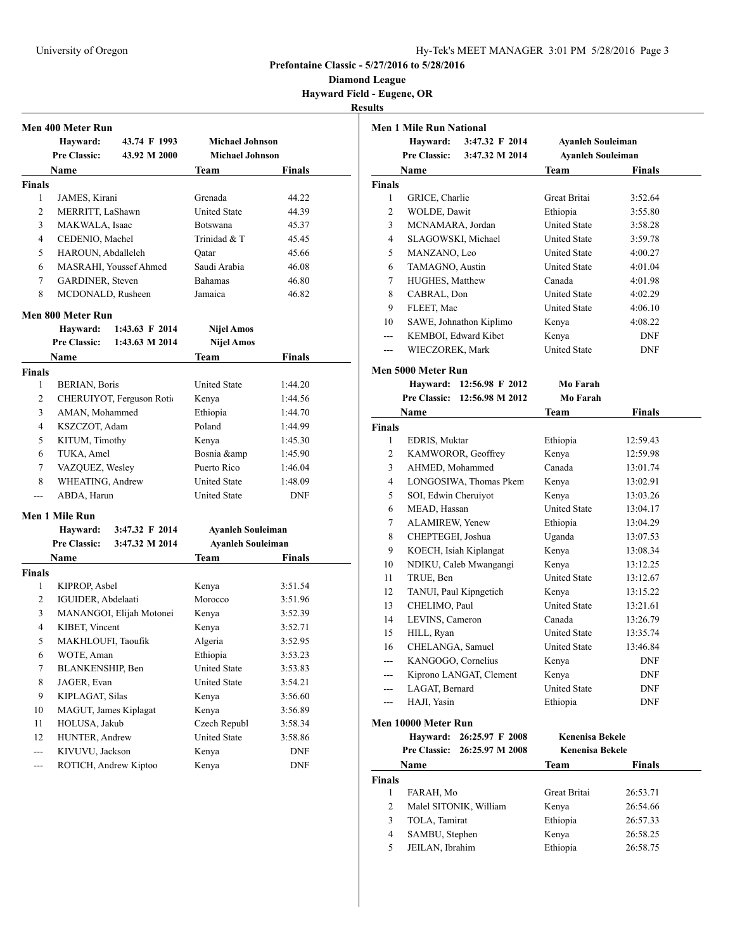**Diamond League Hayward Field - Eugene, OR**

## **Results**

|               | Men 400 Meter Run     |                           |                          |               |
|---------------|-----------------------|---------------------------|--------------------------|---------------|
|               | Hayward:              | 43.74 F 1993              | <b>Michael Johnson</b>   |               |
|               | <b>Pre Classic:</b>   | 43.92 M 2000              | <b>Michael Johnson</b>   |               |
|               | Name                  |                           | Team                     | Finals        |
| <b>Finals</b> |                       |                           |                          |               |
| 1             | JAMES, Kirani         |                           | Grenada                  | 44.22         |
| 2             | MERRITT, LaShawn      |                           | <b>United State</b>      | 44.39         |
| 3             | MAKWALA, Isaac        |                           | <b>Botswana</b>          | 45.37         |
| 4             | CEDENIO, Machel       |                           | Trinidad & T             | 45.45         |
| 5             | HAROUN, Abdalleleh    |                           | Oatar                    | 45.66         |
| 6             |                       | MASRAHI, Youssef Ahmed    | Saudi Arabia             | 46.08         |
| 7             | GARDINER, Steven      |                           | <b>Bahamas</b>           | 46.80         |
| 8             | MCDONALD, Rusheen     |                           | Jamaica                  | 46.82         |
|               | Men 800 Meter Run     |                           |                          |               |
|               | Hayward:              | 1:43.63 F 2014            | <b>Nijel Amos</b>        |               |
|               | <b>Pre Classic:</b>   | 1:43.63 M 2014            | <b>Nijel Amos</b>        |               |
|               | Name                  |                           | Team                     | Finals        |
| <b>Finals</b> |                       |                           |                          |               |
| 1             | BERIAN, Boris         |                           | <b>United State</b>      | 1:44.20       |
| 2             |                       | CHERUIYOT, Ferguson Rotio | Kenya                    | 1:44.56       |
| 3             | AMAN, Mohammed        |                           | Ethiopia                 | 1:44.70       |
| 4             | KSZCZOT, Adam         |                           | Poland                   | 1:44.99       |
| 5             | KITUM, Timothy        |                           | Kenya                    | 1:45.30       |
| 6             | TUKA, Amel            |                           | Bosnia &                 | 1:45.90       |
| 7             | VAZQUEZ, Wesley       |                           | Puerto Rico              | 1:46.04       |
| 8             | WHEATING, Andrew      |                           | <b>United State</b>      | 1:48.09       |
| $\frac{1}{2}$ | ABDA, Harun           |                           | <b>United State</b>      | <b>DNF</b>    |
|               | Men 1 Mile Run        |                           |                          |               |
|               | Hayward:              | 3:47.32 F 2014            | <b>Ayanleh Souleiman</b> |               |
|               | <b>Pre Classic:</b>   | 3:47.32 M 2014            | <b>Ayanleh Souleiman</b> |               |
|               | Name                  |                           | Team                     | <b>Finals</b> |
| <b>Finals</b> |                       |                           |                          |               |
| 1             | KIPROP, Asbel         |                           | Kenya                    | 3:51.54       |
| 2             | IGUIDER, Abdelaati    |                           | Morocco                  | 3:51.96       |
| 3             |                       | MANANGOI, Elijah Motonei  | Kenya                    | 3:52.39       |
| 4             | KIBET, Vincent        |                           | Kenya                    | 3:52.71       |
| 5             | MAKHLOUFI, Taoufik    |                           | Algeria                  | 3:52.95       |
| 6             | WOTE, Aman            |                           | Ethiopia                 | 3:53.23       |
| $\tau$        | BLANKENSHIP, Ben      |                           | <b>United State</b>      | 3:53.83       |
| 8             | JAGER, Evan           |                           | United State             | 3:54.21       |
| 9             | KIPLAGAT, Silas       |                           | Kenya                    | 3:56.60       |
| 10            | MAGUT, James Kiplagat |                           | Kenya                    | 3:56.89       |
| 11            | HOLUSA, Jakub         |                           | Czech Republ             | 3:58.34       |
| 12            | HUNTER, Andrew        |                           | United State             | 3:58.86       |
| ---           | KIVUVU, Jackson       |                           | Kenya                    | <b>DNF</b>    |
| ---           | ROTICH, Andrew Kiptoo |                           | Kenya                    | <b>DNF</b>    |

|                | <b>Men 1 Mile Run National</b><br><b>Hayward:</b> | 3:47.32 F 2014          | <b>Ayanleh Souleiman</b>        |               |  |
|----------------|---------------------------------------------------|-------------------------|---------------------------------|---------------|--|
|                | <b>Pre Classic:</b><br>3:47.32 M 2014             |                         | <b>Ayanleh Souleiman</b>        |               |  |
|                | Name                                              |                         | Team                            | <b>Finals</b> |  |
| Finals         |                                                   |                         |                                 |               |  |
| 1              | GRICE, Charlie                                    |                         | Great Britai                    | 3:52.64       |  |
| $\overline{c}$ | WOLDE, Dawit                                      |                         | Ethiopia                        | 3:55.80       |  |
| 3              | MCNAMARA, Jordan                                  |                         | <b>United State</b>             | 3:58.28       |  |
| 4              | SLAGOWSKI, Michael                                |                         | <b>United State</b>             | 3:59.78       |  |
| 5              | MANZANO, Leo                                      |                         | <b>United State</b>             | 4:00.27       |  |
| 6              | TAMAGNO, Austin                                   |                         | <b>United State</b>             | 4:01.04       |  |
| 7              | HUGHES, Matthew                                   |                         | Canada                          | 4:01.98       |  |
| 8              | CABRAL, Don                                       |                         | <b>United State</b>             | 4:02.29       |  |
| 9              | FLEET, Mac                                        |                         | <b>United State</b>             | 4:06.10       |  |
| 10             |                                                   | SAWE, Johnathon Kiplimo | Kenya                           | 4:08.22       |  |
| ---            |                                                   | KEMBOI, Edward Kibet    | Kenya                           | <b>DNF</b>    |  |
| ---            | WIECZOREK, Mark                                   |                         | <b>United State</b>             | DNF           |  |
|                | Men 5000 Meter Run                                |                         |                                 |               |  |
|                | <b>Havward:</b>                                   | 12:56.98 F 2012         | Mo Farah                        |               |  |
|                | <b>Pre Classic:</b>                               | 12:56.98 M 2012         | Mo Farah                        |               |  |
|                | <b>Name</b>                                       |                         | Team                            | <b>Finals</b> |  |
| <b>Finals</b>  |                                                   |                         |                                 |               |  |
| 1              | EDRIS, Muktar                                     |                         | Ethiopia                        | 12:59.43      |  |
| 2              |                                                   | KAMWOROR, Geoffrey      | Kenya                           | 12:59.98      |  |
| 3              | AHMED, Mohammed                                   |                         | Canada                          | 13:01.74      |  |
| $\overline{4}$ |                                                   | LONGOSIWA, Thomas Pkem  | Kenya                           | 13:02.91      |  |
| 5              | SOI, Edwin Cheruiyot                              |                         | Kenya                           | 13:03.26      |  |
| 6              | MEAD, Hassan                                      |                         | <b>United State</b>             | 13:04.17      |  |
| 7              | ALAMIREW, Yenew                                   |                         | Ethiopia                        | 13:04.29      |  |
| 8              | CHEPTEGEI, Joshua                                 |                         | Uganda                          | 13:07.53      |  |
| 9              |                                                   | KOECH, Isiah Kiplangat  | Kenya                           | 13:08.34      |  |
| 10             |                                                   | NDIKU, Caleb Mwangangi  | Kenya                           | 13:12.25      |  |
| 11             | TRUE, Ben                                         |                         | <b>United State</b>             | 13:12.67      |  |
| 12             |                                                   | TANUI, Paul Kipngetich  | Kenya                           | 13:15.22      |  |
| 13             | CHELIMO, Paul                                     |                         | <b>United State</b>             | 13:21.61      |  |
| 14             | LEVINS, Cameron                                   |                         | Canada                          | 13:26.79      |  |
| 15             | HILL, Ryan                                        |                         | <b>United State</b>             | 13:35.74      |  |
| 16             | CHELANGA, Samuel                                  |                         | <b>United State</b>             | 13:46.84      |  |
| ---            | KANGOGO, Cornelius                                |                         | Kenya                           | <b>DNF</b>    |  |
| ---            |                                                   | Kiprono LANGAT, Clement | Kenya                           | DNF           |  |
| ---<br>---     | LAGAT, Bernard<br>HAJI, Yasin                     |                         | <b>United State</b><br>Ethiopia | DNF<br>DNF    |  |
|                | Men 10000 Meter Run                               |                         |                                 |               |  |
|                | <b>Hayward:</b>                                   | 26:25.97 F 2008         | <b>Kenenisa Bekele</b>          |               |  |
|                | <b>Pre Classic:</b>                               | 26:25.97 M 2008         | <b>Kenenisa Bekele</b>          |               |  |
|                | Name                                              |                         | Team                            | <b>Finals</b> |  |

| FARAH, Mo              | Great Britai | 26:53.71 |
|------------------------|--------------|----------|
| Malel SITONIK, William | Kenya        | 26:54.66 |
| TOLA, Tamirat          | Ethiopia     | 26:57.33 |
| SAMBU, Stephen         | Kenya        | 26:58.25 |
| JEILAN, Ibrahim        | Ethiopia     | 26:58.75 |
|                        |              |          |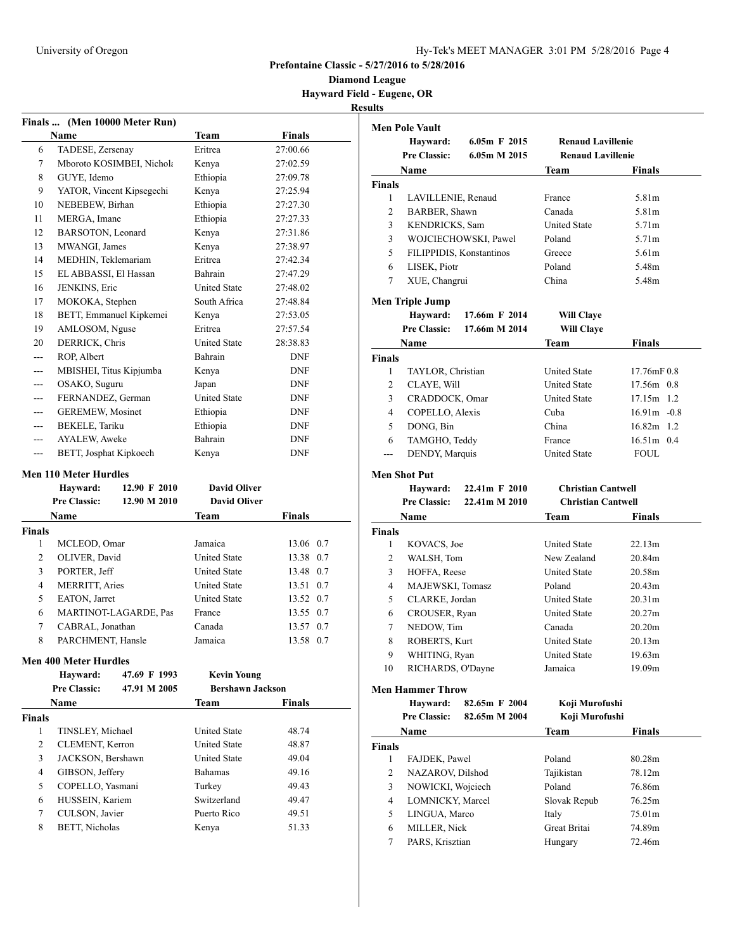**Diamond League Hayward Field - Eugene, OR Results**

|               | Finals  (Men 10000 Meter Run) |                           |                         |              |
|---------------|-------------------------------|---------------------------|-------------------------|--------------|
|               | Name                          |                           | <b>Team</b>             | Finals       |
| 6             | TADESE, Zersenay              |                           | Eritrea                 | 27:00.66     |
| 7             |                               | Mboroto KOSIMBEI, Nichola | Kenya                   | 27:02.59     |
| 8             | GUYE, Idemo                   |                           | Ethiopia                | 27:09.78     |
| 9             | YATOR, Vincent Kipsegechi     |                           | Kenya                   | 27:25.94     |
| 10            | NEBEBEW, Birhan               |                           | Ethiopia                | 27:27.30     |
| 11            | MERGA, Imane                  |                           | Ethiopia                | 27:27.33     |
| 12            | BARSOTON, Leonard             |                           | Kenya                   | 27:31.86     |
| 13            | MWANGI, James                 |                           | Kenya                   | 27:38.97     |
| 14            | MEDHIN, Teklemariam           |                           | Eritrea                 | 27:42.34     |
| 15            | EL ABBASSI, El Hassan         |                           | Bahrain                 | 27:47.29     |
| 16            | JENKINS, Eric                 |                           | <b>United State</b>     | 27:48.02     |
| 17            | MOKOKA, Stephen               |                           | South Africa            | 27:48.84     |
| 18            | BETT, Emmanuel Kipkemei       |                           | Kenya                   | 27:53.05     |
| 19            | AMLOSOM, Nguse                |                           | Eritrea                 | 27:57.54     |
| 20            | DERRICK, Chris                |                           | <b>United State</b>     | 28:38.83     |
| ---           | ROP, Albert                   |                           | Bahrain                 | <b>DNF</b>   |
| ---           | MBISHEI, Titus Kipjumba       |                           | Kenya                   | <b>DNF</b>   |
| ---           | OSAKO, Suguru                 |                           | Japan                   | <b>DNF</b>   |
|               | FERNANDEZ, German             |                           | <b>United State</b>     | <b>DNF</b>   |
|               | <b>GEREMEW, Mosinet</b>       |                           | Ethiopia                | <b>DNF</b>   |
| ---           | BEKELE, Tariku                |                           | Ethiopia                | <b>DNF</b>   |
| ---           | AYALEW, Aweke                 |                           | Bahrain                 | <b>DNF</b>   |
| ---           | BETT, Josphat Kipkoech        |                           | Kenya                   | <b>DNF</b>   |
|               | <b>Men 110 Meter Hurdles</b>  |                           |                         |              |
|               | Hayward:                      | 12.90 F 2010              | <b>David Oliver</b>     |              |
|               | <b>Pre Classic:</b>           | 12.90 M 2010              | <b>David Oliver</b>     |              |
|               | Name                          |                           | Team                    | Finals       |
| Finals        |                               |                           |                         |              |
| 1             | MCLEOD, Omar                  |                           | Jamaica                 | 13.06 0.7    |
| 2             | OLIVER, David                 |                           | <b>United State</b>     | 13.38 0.7    |
| 3             | PORTER, Jeff                  |                           | <b>United State</b>     | 13.48 0.7    |
| 4             | MERRITT, Aries                |                           | <b>United State</b>     | 13.51 0.7    |
| 5             | EATON, Jarret                 |                           | <b>United State</b>     | 13.52 0.7    |
| 6             |                               | MARTINOT-LAGARDE, Pas     | France                  | 13.55<br>0.7 |
| 7             | CABRAL, Jonathan              |                           | Canada                  | 13.57<br>0.7 |
| 8             | PARCHMENT, Hansle             |                           | Jamaica                 | 13.58 0.7    |
|               | <b>Men 400 Meter Hurdles</b>  |                           |                         |              |
|               | Hayward:                      | 47.69 F 1993              | <b>Kevin Young</b>      |              |
|               | <b>Pre Classic:</b>           | 47.91 M 2005              | <b>Bershawn Jackson</b> |              |
|               | Name                          |                           | Team                    | Finals       |
| <b>Finals</b> |                               |                           |                         |              |
| 1             | TINSLEY, Michael              |                           | <b>United State</b>     | 48.74        |
| 2             | CLEMENT, Kerron               |                           | <b>United State</b>     | 48.87        |
| 3             | JACKSON, Bershawn             |                           | <b>United State</b>     | 49.04        |
| 4             | GIBSON, Jeffery               |                           | <b>Bahamas</b>          | 49.16        |
| 5             | COPELLO, Yasmani              |                           | Turkey                  | 49.43        |
| 6             | HUSSEIN, Kariem               |                           | Switzerland             | 49.47        |

7 CULSON, Javier Puerto Rico 49.51 8 BETT, Nicholas Kenya 51.33

|                | <b>Men Pole Vault</b>   |                          |                           |                |
|----------------|-------------------------|--------------------------|---------------------------|----------------|
|                | Hayward:                | $6.05m$ F 2015           | <b>Renaud Lavillenie</b>  |                |
|                | <b>Pre Classic:</b>     | 6.05m M 2015             | <b>Renaud Lavillenie</b>  |                |
|                | Name                    |                          | Team                      | Finals         |
| <b>Finals</b>  |                         |                          |                           |                |
| 1              | LAVILLENIE, Renaud      |                          | France                    | 5.81m          |
| 2              | BARBER, Shawn           |                          | Canada                    | 5.81m          |
| 3              | KENDRICKS, Sam          |                          | <b>United State</b>       | 5.71m          |
| 3              |                         | WOJCIECHOWSKI, Pawel     | Poland                    | 5.71m          |
| 5              |                         | FILIPPIDIS, Konstantinos | Greece                    | 5.61m          |
| 6              | LISEK, Piotr            |                          | Poland                    | 5.48m          |
| 7              | XUE, Changrui           |                          | China                     | 5.48m          |
|                | Men Triple Jump         |                          |                           |                |
|                | Hayward:                | 17.66m F 2014            | <b>Will Claye</b>         |                |
|                | <b>Pre Classic:</b>     | 17.66m M 2014            | <b>Will Claye</b>         |                |
|                | Name                    |                          | Team                      | <b>Finals</b>  |
| Finals         |                         |                          |                           |                |
| 1              | TAYLOR, Christian       |                          | <b>United State</b>       | 17.76mF 0.8    |
| 2              | CLAYE, Will             |                          | <b>United State</b>       | 17.56m 0.8     |
| 3              | CRADDOCK, Omar          |                          | <b>United State</b>       | 17.15m<br>1.2  |
| 4              | COPELLO, Alexis         |                          | Cuba                      | $16.91m - 0.8$ |
| 5              | DONG, Bin               |                          | China                     | 16.82m<br>1.2  |
| 6              | TAMGHO, Teddy           |                          | France                    | 16.51m 0.4     |
| $---$          | DENDY, Marquis          |                          | <b>United State</b>       | <b>FOUL</b>    |
|                | <b>Men Shot Put</b>     |                          |                           |                |
|                | Hayward:                | 22.41m F 2010            | <b>Christian Cantwell</b> |                |
|                | <b>Pre Classic:</b>     | 22.41m M 2010            | <b>Christian Cantwell</b> |                |
|                | Name                    |                          | Team                      | <b>Finals</b>  |
| Finals         |                         |                          |                           |                |
| 1              | KOVACS, Joe             |                          | <b>United State</b>       | 22.13m         |
| $\overline{c}$ | WALSH, Tom              |                          | New Zealand               | 20.84m         |
| 3              | HOFFA, Reese            |                          | <b>United State</b>       | 20.58m         |
| 4              | MAJEWSKI, Tomasz        |                          | Poland                    | 20.43m         |
| 5              | CLARKE, Jordan          |                          | <b>United State</b>       | 20.31m         |
| 6              | CROUSER, Ryan           |                          | <b>United State</b>       | 20.27m         |
| 7              | NEDOW, Tim              |                          | Canada                    | 20.20m         |
| 8              | ROBERTS, Kurt           |                          | <b>United State</b>       | 20.13m         |
| 9              | WHITING, Ryan           |                          | United State              | 19.63m         |
| 10             | RICHARDS, O'Dayne       |                          | Jamaica                   | 19.09m         |
|                | <b>Men Hammer Throw</b> |                          |                           |                |
|                | Hayward:                | 82.65m F 2004            | Koji Murofushi            |                |
|                | <b>Pre Classic:</b>     | 82.65m M 2004            | Koji Murofushi            |                |
|                | Name                    |                          | Team                      | <b>Finals</b>  |
| <b>Finals</b>  |                         |                          |                           |                |
| 1              | FAJDEK, Pawel           |                          | Poland                    | 80.28m         |
| 2              | NAZAROV, Dilshod        |                          | Tajikistan                | 78.12m         |
| 3              | NOWICKI, Wojciech       |                          | Poland                    | 76.86m         |
| $\overline{4}$ | LOMNICKY, Marcel        |                          | Slovak Repub              | 76.25m         |
| 5              | LINGUA, Marco           |                          | Italy                     | 75.01m         |
| 6              | MILLER, Nick            |                          | Great Britai              | 74.89m         |
| 7              | PARS, Krisztian         |                          | Hungary                   | 72.46m         |
|                |                         |                          |                           |                |